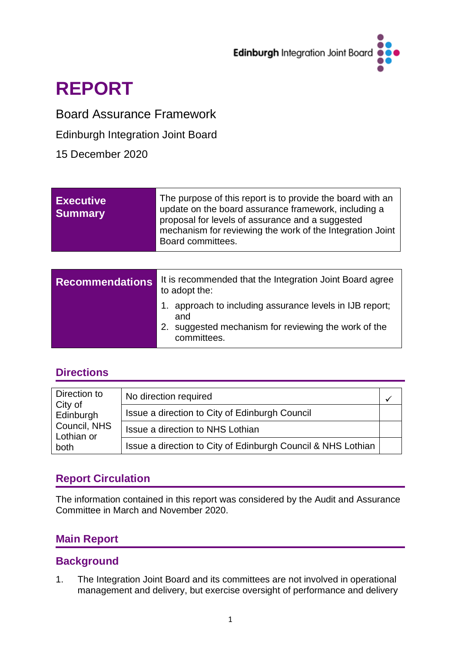

## **REPORT**

## Board Assurance Framework

Edinburgh Integration Joint Board

15 December 2020

| <b>Executive</b><br><b>Summary</b> | The purpose of this report is to provide the board with an<br>update on the board assurance framework, including a<br>proposal for levels of assurance and a suggested<br>mechanism for reviewing the work of the Integration Joint<br>Board committees. |  |  |  |  |  |
|------------------------------------|----------------------------------------------------------------------------------------------------------------------------------------------------------------------------------------------------------------------------------------------------------|--|--|--|--|--|
|                                    |                                                                                                                                                                                                                                                          |  |  |  |  |  |
| <b>Recommendations</b>             | It is recommended that the Integration Joint Board agree<br>to adopt the:                                                                                                                                                                                |  |  |  |  |  |
|                                    | approach to including assurance levels in IJB report;<br>1.<br>and<br>suggested mechanism for reviewing the work of the<br>2.<br>committees.                                                                                                             |  |  |  |  |  |

## **Directions**

| Direction to<br>City of<br>Edinburgh<br>Council, NHS<br>Lothian or<br>both | No direction required                                        |  |
|----------------------------------------------------------------------------|--------------------------------------------------------------|--|
|                                                                            | Issue a direction to City of Edinburgh Council               |  |
|                                                                            | Issue a direction to NHS Lothian                             |  |
|                                                                            | Issue a direction to City of Edinburgh Council & NHS Lothian |  |

## **Report Circulation**

The information contained in this report was considered by the Audit and Assurance Committee in March and November 2020.

## **Main Report**

## **Background**

1. The Integration Joint Board and its committees are not involved in operational management and delivery, but exercise oversight of performance and delivery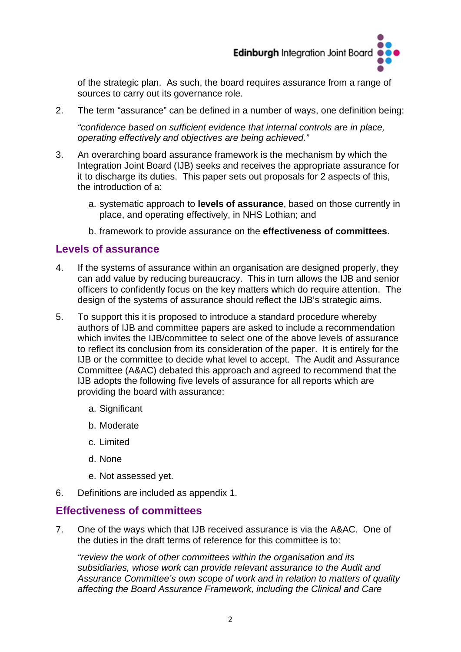

of the strategic plan. As such, the board requires assurance from a range of sources to carry out its governance role.

2. The term "assurance" can be defined in a number of ways, one definition being:

*"confidence based on sufficient evidence that internal controls are in place, operating effectively and objectives are being achieved."*

- 3. An overarching board assurance framework is the mechanism by which the Integration Joint Board (IJB) seeks and receives the appropriate assurance for it to discharge its duties. This paper sets out proposals for 2 aspects of this, the introduction of a:
	- a. systematic approach to **levels of assurance**, based on those currently in place, and operating effectively, in NHS Lothian; and
	- b. framework to provide assurance on the **effectiveness of committees**.

### **Levels of assurance**

- 4. If the systems of assurance within an organisation are designed properly, they can add value by reducing bureaucracy. This in turn allows the IJB and senior officers to confidently focus on the key matters which do require attention. The design of the systems of assurance should reflect the IJB's strategic aims.
- 5. To support this it is proposed to introduce a standard procedure whereby authors of IJB and committee papers are asked to include a recommendation which invites the IJB/committee to select one of the above levels of assurance to reflect its conclusion from its consideration of the paper. It is entirely for the IJB or the committee to decide what level to accept. The Audit and Assurance Committee (A&AC) debated this approach and agreed to recommend that the IJB adopts the following five levels of assurance for all reports which are providing the board with assurance:
	- a. Significant
	- b. Moderate
	- c. Limited
	- d. None
	- e. Not assessed yet.
- 6. Definitions are included as appendix 1.

## **Effectiveness of committees**

7. One of the ways which that IJB received assurance is via the A&AC. One of the duties in the draft terms of reference for this committee is to:

*"review the work of other committees within the organisation and its subsidiaries, whose work can provide relevant assurance to the Audit and Assurance Committee's own scope of work and in relation to matters of quality affecting the Board Assurance Framework, including the Clinical and Care*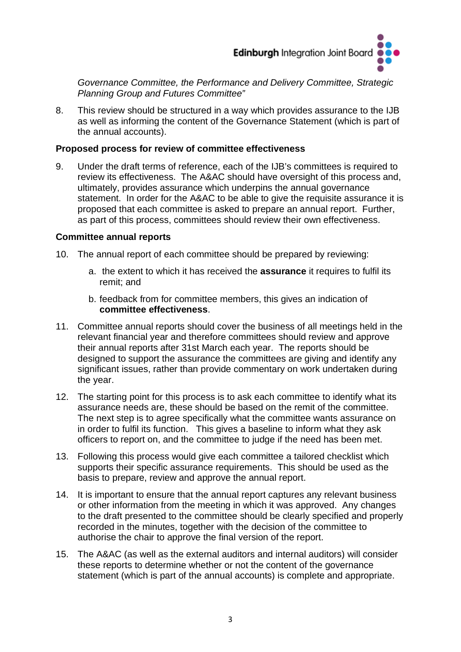

*Governance Committee, the Performance and Delivery Committee, Strategic Planning Group and Futures Committee"* 

8. This review should be structured in a way which provides assurance to the IJB as well as informing the content of the Governance Statement (which is part of the annual accounts).

#### **Proposed process for review of committee effectiveness**

9. Under the draft terms of reference, each of the IJB's committees is required to review its effectiveness. The A&AC should have oversight of this process and, ultimately, provides assurance which underpins the annual governance statement. In order for the A&AC to be able to give the requisite assurance it is proposed that each committee is asked to prepare an annual report. Further, as part of this process, committees should review their own effectiveness.

#### **Committee annual reports**

- 10. The annual report of each committee should be prepared by reviewing:
	- a. the extent to which it has received the **assurance** it requires to fulfil its remit; and
	- b. feedback from for committee members, this gives an indication of **committee effectiveness**.
- 11. Committee annual reports should cover the business of all meetings held in the relevant financial year and therefore committees should review and approve their annual reports after 31st March each year. The reports should be designed to support the assurance the committees are giving and identify any significant issues, rather than provide commentary on work undertaken during the year.
- 12. The starting point for this process is to ask each committee to identify what its assurance needs are, these should be based on the remit of the committee. The next step is to agree specifically what the committee wants assurance on in order to fulfil its function. This gives a baseline to inform what they ask officers to report on, and the committee to judge if the need has been met.
- 13. Following this process would give each committee a tailored checklist which supports their specific assurance requirements. This should be used as the basis to prepare, review and approve the annual report.
- 14. It is important to ensure that the annual report captures any relevant business or other information from the meeting in which it was approved. Any changes to the draft presented to the committee should be clearly specified and properly recorded in the minutes, together with the decision of the committee to authorise the chair to approve the final version of the report.
- 15. The A&AC (as well as the external auditors and internal auditors) will consider these reports to determine whether or not the content of the governance statement (which is part of the annual accounts) is complete and appropriate.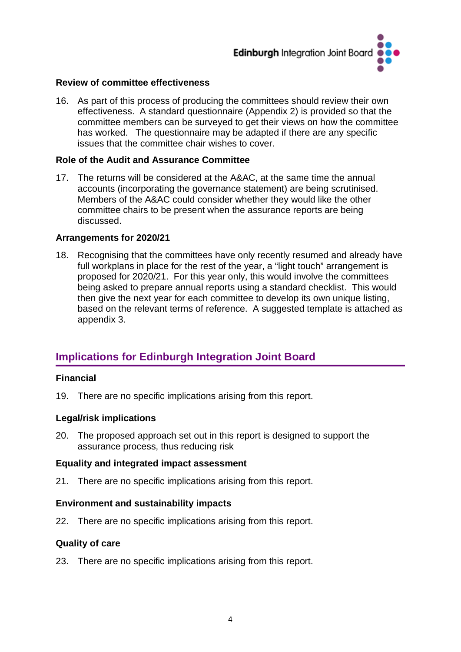

#### **Review of committee effectiveness**

16. As part of this process of producing the committees should review their own effectiveness. A standard questionnaire (Appendix 2) is provided so that the committee members can be surveyed to get their views on how the committee has worked. The questionnaire may be adapted if there are any specific issues that the committee chair wishes to cover.

#### **Role of the Audit and Assurance Committee**

17. The returns will be considered at the A&AC, at the same time the annual accounts (incorporating the governance statement) are being scrutinised. Members of the A&AC could consider whether they would like the other committee chairs to be present when the assurance reports are being discussed.

#### **Arrangements for 2020/21**

18. Recognising that the committees have only recently resumed and already have full workplans in place for the rest of the year, a "light touch" arrangement is proposed for 2020/21. For this year only, this would involve the committees being asked to prepare annual reports using a standard checklist. This would then give the next year for each committee to develop its own unique listing, based on the relevant terms of reference. A suggested template is attached as appendix 3.

## **Implications for Edinburgh Integration Joint Board**

#### **Financial**

19. There are no specific implications arising from this report.

#### **Legal/risk implications**

20. The proposed approach set out in this report is designed to support the assurance process, thus reducing risk

#### **Equality and integrated impact assessment**

21. There are no specific implications arising from this report.

#### **Environment and sustainability impacts**

22. There are no specific implications arising from this report.

#### **Quality of care**

23. There are no specific implications arising from this report.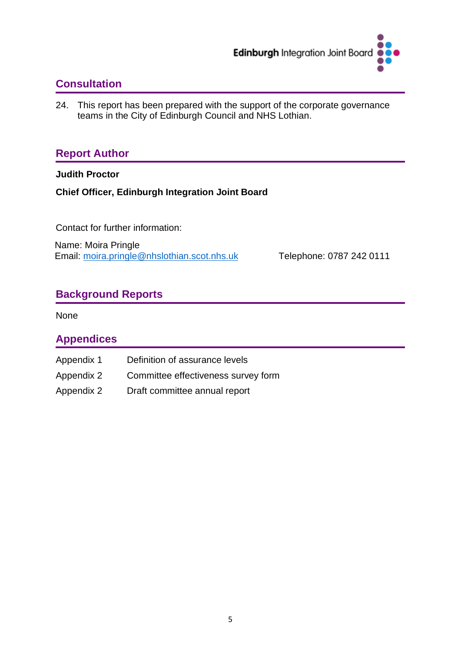

## **Consultation**

24. This report has been prepared with the support of the corporate governance teams in the City of Edinburgh Council and NHS Lothian.

## **Report Author**

**Judith Proctor** 

**Chief Officer, Edinburgh Integration Joint Board** 

Contact for further information:

Name: Moira Pringle Email: [moira.pringle@nhslothian.scot.nhs.uk](mailto:moira.pringle@nhslothian.scot.nhs.uk) Telephone: 0787 242 0111

## **Background Reports**

None

## **Appendices**

Appendix 1 Appendix 2 Appendix 2 Definition of assurance levels Committee effectiveness survey form Draft committee annual report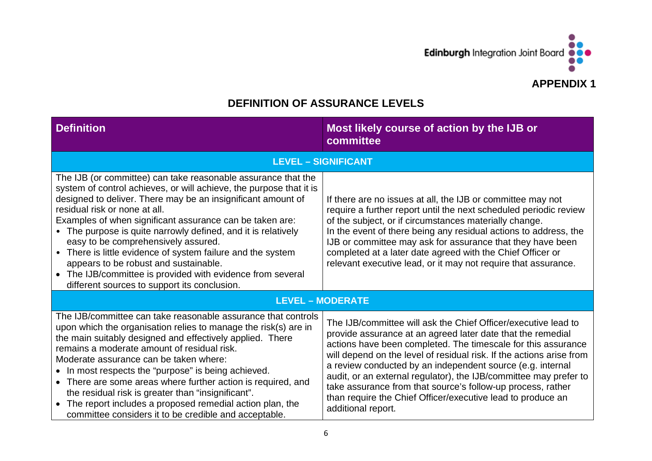

## **DEFINITION OF ASSURANCE LEVELS**

| <b>Definition</b>                                                                                                                                                                                                                                                                                                                                                                                                                                                                                                                                                                                                               | Most likely course of action by the IJB or<br>committee                                                                                                                                                                                                                                                                                                                                                                                                                                                                                                       |
|---------------------------------------------------------------------------------------------------------------------------------------------------------------------------------------------------------------------------------------------------------------------------------------------------------------------------------------------------------------------------------------------------------------------------------------------------------------------------------------------------------------------------------------------------------------------------------------------------------------------------------|---------------------------------------------------------------------------------------------------------------------------------------------------------------------------------------------------------------------------------------------------------------------------------------------------------------------------------------------------------------------------------------------------------------------------------------------------------------------------------------------------------------------------------------------------------------|
|                                                                                                                                                                                                                                                                                                                                                                                                                                                                                                                                                                                                                                 | <b>LEVEL - SIGNIFICANT</b>                                                                                                                                                                                                                                                                                                                                                                                                                                                                                                                                    |
| The IJB (or committee) can take reasonable assurance that the<br>system of control achieves, or will achieve, the purpose that it is<br>designed to deliver. There may be an insignificant amount of<br>residual risk or none at all.<br>Examples of when significant assurance can be taken are:<br>• The purpose is quite narrowly defined, and it is relatively<br>easy to be comprehensively assured.<br>• There is little evidence of system failure and the system<br>appears to be robust and sustainable.<br>• The IJB/committee is provided with evidence from several<br>different sources to support its conclusion. | If there are no issues at all, the IJB or committee may not<br>require a further report until the next scheduled periodic review<br>of the subject, or if circumstances materially change.<br>In the event of there being any residual actions to address, the<br>IJB or committee may ask for assurance that they have been<br>completed at a later date agreed with the Chief Officer or<br>relevant executive lead, or it may not require that assurance.                                                                                                  |
|                                                                                                                                                                                                                                                                                                                                                                                                                                                                                                                                                                                                                                 | <b>LEVEL - MODERATE</b>                                                                                                                                                                                                                                                                                                                                                                                                                                                                                                                                       |
| The IJB/committee can take reasonable assurance that controls<br>upon which the organisation relies to manage the risk(s) are in<br>the main suitably designed and effectively applied. There<br>remains a moderate amount of residual risk.<br>Moderate assurance can be taken where:<br>• In most respects the "purpose" is being achieved.<br>• There are some areas where further action is required, and<br>the residual risk is greater than "insignificant".<br>• The report includes a proposed remedial action plan, the<br>committee considers it to be credible and acceptable.                                      | The IJB/committee will ask the Chief Officer/executive lead to<br>provide assurance at an agreed later date that the remedial<br>actions have been completed. The timescale for this assurance<br>will depend on the level of residual risk. If the actions arise from<br>a review conducted by an independent source (e.g. internal<br>audit, or an external regulator), the IJB/committee may prefer to<br>take assurance from that source's follow-up process, rather<br>than require the Chief Officer/executive lead to produce an<br>additional report. |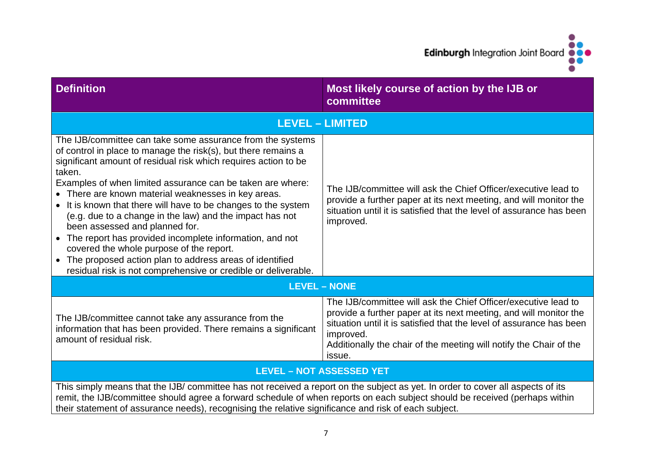Edinburgh Integration Joint Board

 $\bullet$ 

 $\bullet$ 

| <b>Definition</b>                                                                                                                                                                                                                                                                                                                                                                                                                                                                                                                                                                                                                                                                                                                      | Most likely course of action by the IJB or<br>committee                                                                                                                                                                                                                                                  |  |  |  |  |
|----------------------------------------------------------------------------------------------------------------------------------------------------------------------------------------------------------------------------------------------------------------------------------------------------------------------------------------------------------------------------------------------------------------------------------------------------------------------------------------------------------------------------------------------------------------------------------------------------------------------------------------------------------------------------------------------------------------------------------------|----------------------------------------------------------------------------------------------------------------------------------------------------------------------------------------------------------------------------------------------------------------------------------------------------------|--|--|--|--|
|                                                                                                                                                                                                                                                                                                                                                                                                                                                                                                                                                                                                                                                                                                                                        | <b>LEVEL - LIMITED</b>                                                                                                                                                                                                                                                                                   |  |  |  |  |
| The IJB/committee can take some assurance from the systems<br>of control in place to manage the risk(s), but there remains a<br>significant amount of residual risk which requires action to be<br>taken.<br>Examples of when limited assurance can be taken are where:<br>• There are known material weaknesses in key areas.<br>• It is known that there will have to be changes to the system<br>(e.g. due to a change in the law) and the impact has not<br>been assessed and planned for.<br>• The report has provided incomplete information, and not<br>covered the whole purpose of the report.<br>• The proposed action plan to address areas of identified<br>residual risk is not comprehensive or credible or deliverable. | The IJB/committee will ask the Chief Officer/executive lead to<br>provide a further paper at its next meeting, and will monitor the<br>situation until it is satisfied that the level of assurance has been<br>improved.                                                                                 |  |  |  |  |
|                                                                                                                                                                                                                                                                                                                                                                                                                                                                                                                                                                                                                                                                                                                                        | <b>LEVEL - NONE</b>                                                                                                                                                                                                                                                                                      |  |  |  |  |
| The IJB/committee cannot take any assurance from the<br>information that has been provided. There remains a significant<br>amount of residual risk.                                                                                                                                                                                                                                                                                                                                                                                                                                                                                                                                                                                    | The IJB/committee will ask the Chief Officer/executive lead to<br>provide a further paper at its next meeting, and will monitor the<br>situation until it is satisfied that the level of assurance has been<br>improved.<br>Additionally the chair of the meeting will notify the Chair of the<br>issue. |  |  |  |  |
| <b>LEVEL - NOT ASSESSED YET</b>                                                                                                                                                                                                                                                                                                                                                                                                                                                                                                                                                                                                                                                                                                        |                                                                                                                                                                                                                                                                                                          |  |  |  |  |
| This simply means that the IJB/ committee has not received a report on the subject as yet. In order to cover all aspects of its<br>remit, the IJB/committee should agree a forward schedule of when reports on each subject should be received (perhaps within<br>their statement of assurance needs), recognising the relative significance and risk of each subject.                                                                                                                                                                                                                                                                                                                                                                 |                                                                                                                                                                                                                                                                                                          |  |  |  |  |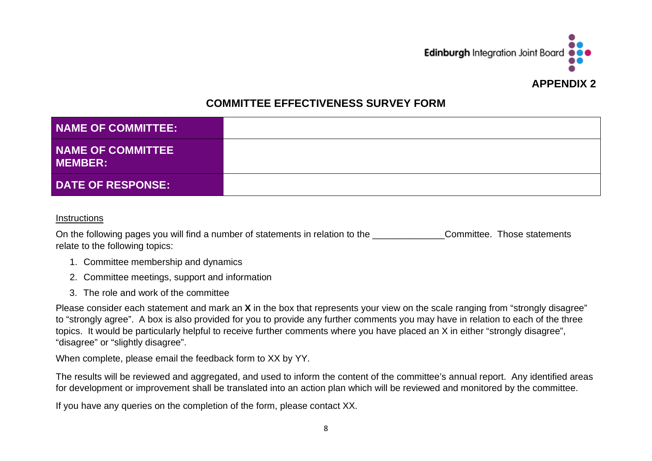

## **COMMITTEE EFFECTIVENESS SURVEY FORM**

| <b>NAME OF COMMITTEE:</b>                  |  |
|--------------------------------------------|--|
| <b>NAME OF COMMITTEE</b><br><b>MEMBER:</b> |  |
| <b>DATE OF RESPONSE:</b>                   |  |

#### **Instructions**

On the following pages you will find a number of statements in relation to the \_\_\_\_\_\_\_\_\_\_\_\_\_\_\_\_\_Committee. Those statements relate to the following topics:

- 1. Committee membership and dynamics
- 2. Committee meetings, support and information
- 3. The role and work of the committee

Please consider each statement and mark an **X** in the box that represents your view on the scale ranging from "strongly disagree" to "strongly agree". A box is also provided for you to provide any further comments you may have in relation to each of the three topics. It would be particularly helpful to receive further comments where you have placed an X in either "strongly disagree", "disagree" or "slightly disagree".

When complete, please email the feedback form to XX by YY.

The results will be reviewed and aggregated, and used to inform the content of the committee's annual report. Any identified areas for development or improvement shall be translated into an action plan which will be reviewed and monitored by the committee.

If you have any queries on the completion of the form, please contact XX.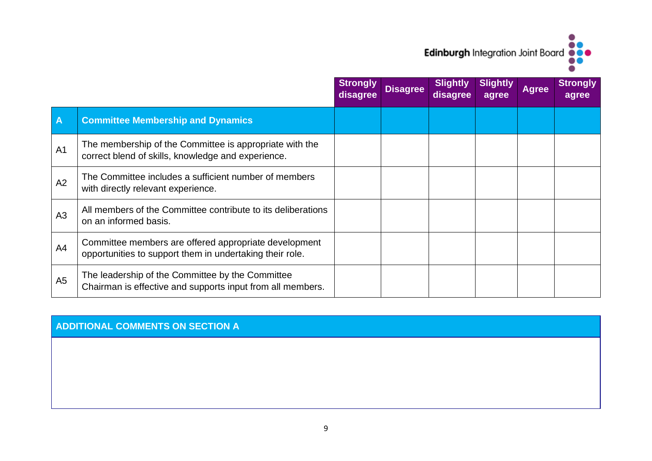## Edinburgh Integration Joint Board  $\bullet$

|                         |                                                                                                                   | <b>Strongly</b><br>disagree | <b>Disagree</b> | <b>Slightly</b><br>disagree | <b>Slightly</b><br>agree | <b>Agree</b> | <b>Strongly</b><br>agree |
|-------------------------|-------------------------------------------------------------------------------------------------------------------|-----------------------------|-----------------|-----------------------------|--------------------------|--------------|--------------------------|
| $\overline{\mathsf{A}}$ | <b>Committee Membership and Dynamics</b>                                                                          |                             |                 |                             |                          |              |                          |
| A <sub>1</sub>          | The membership of the Committee is appropriate with the<br>correct blend of skills, knowledge and experience.     |                             |                 |                             |                          |              |                          |
| A2                      | The Committee includes a sufficient number of members<br>with directly relevant experience.                       |                             |                 |                             |                          |              |                          |
| A <sub>3</sub>          | All members of the Committee contribute to its deliberations<br>on an informed basis.                             |                             |                 |                             |                          |              |                          |
| A4                      | Committee members are offered appropriate development<br>opportunities to support them in undertaking their role. |                             |                 |                             |                          |              |                          |
| A <sub>5</sub>          | The leadership of the Committee by the Committee<br>Chairman is effective and supports input from all members.    |                             |                 |                             |                          |              |                          |

## **ADDITIONAL COMMENTS ON SECTION A**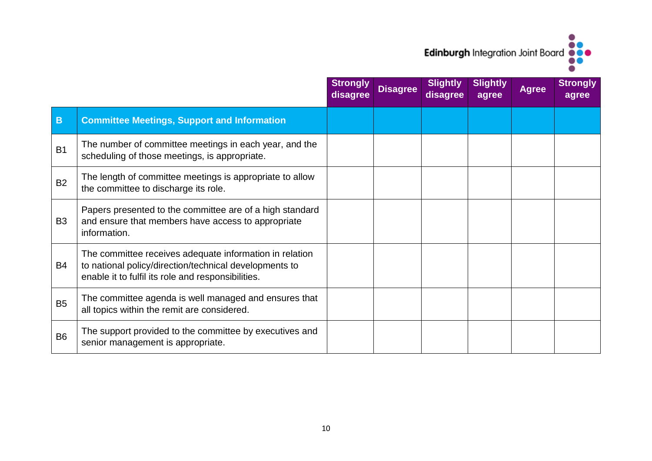# $\bullet$ Edinburgh Integration Joint Board

|                |                                                                                                                                                                         | <b>Strongly</b><br>disagree | <b>Disagree</b> | <b>Slightly</b><br>disagree | <b>Slightly</b><br>agree | <b>Agree</b> | <b>Strongly</b><br>agree |
|----------------|-------------------------------------------------------------------------------------------------------------------------------------------------------------------------|-----------------------------|-----------------|-----------------------------|--------------------------|--------------|--------------------------|
| B              | <b>Committee Meetings, Support and Information</b>                                                                                                                      |                             |                 |                             |                          |              |                          |
| <b>B1</b>      | The number of committee meetings in each year, and the<br>scheduling of those meetings, is appropriate.                                                                 |                             |                 |                             |                          |              |                          |
| <b>B2</b>      | The length of committee meetings is appropriate to allow<br>the committee to discharge its role.                                                                        |                             |                 |                             |                          |              |                          |
| B <sub>3</sub> | Papers presented to the committee are of a high standard<br>and ensure that members have access to appropriate<br>information.                                          |                             |                 |                             |                          |              |                          |
| B <sub>4</sub> | The committee receives adequate information in relation<br>to national policy/direction/technical developments to<br>enable it to fulfil its role and responsibilities. |                             |                 |                             |                          |              |                          |
| <b>B5</b>      | The committee agenda is well managed and ensures that<br>all topics within the remit are considered.                                                                    |                             |                 |                             |                          |              |                          |
| <b>B6</b>      | The support provided to the committee by executives and<br>senior management is appropriate.                                                                            |                             |                 |                             |                          |              |                          |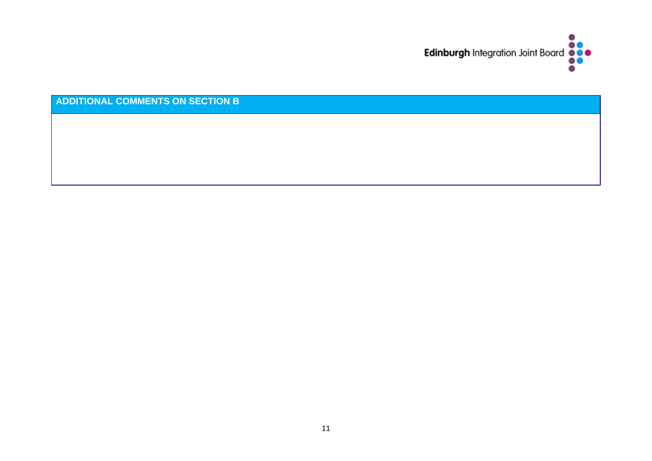

**ADDITIONAL COMMENTS ON SECTION B**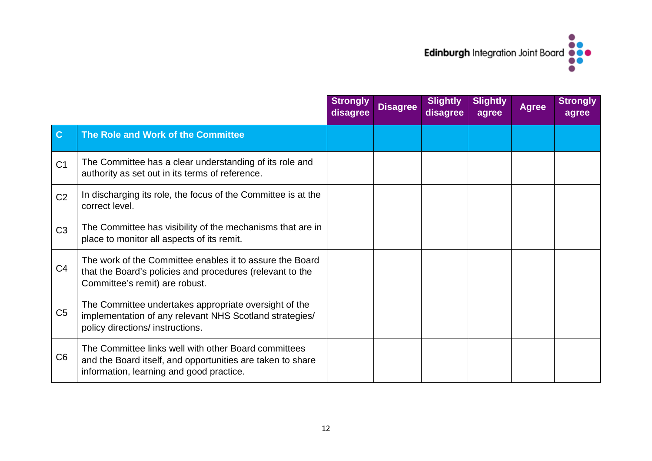

|                |                                                                                                                                                                | <b>Strongly</b><br>disagree | <b>Disagree</b> | <b>Slightly</b><br>disagree | <b>Slightly</b><br>agree | <b>Agree</b> | <b>Strongly</b><br>agree |
|----------------|----------------------------------------------------------------------------------------------------------------------------------------------------------------|-----------------------------|-----------------|-----------------------------|--------------------------|--------------|--------------------------|
| $\mathbf{C}$   | The Role and Work of the Committee                                                                                                                             |                             |                 |                             |                          |              |                          |
| C <sub>1</sub> | The Committee has a clear understanding of its role and<br>authority as set out in its terms of reference.                                                     |                             |                 |                             |                          |              |                          |
| C <sub>2</sub> | In discharging its role, the focus of the Committee is at the<br>correct level.                                                                                |                             |                 |                             |                          |              |                          |
| C <sub>3</sub> | The Committee has visibility of the mechanisms that are in<br>place to monitor all aspects of its remit.                                                       |                             |                 |                             |                          |              |                          |
| C <sub>4</sub> | The work of the Committee enables it to assure the Board<br>that the Board's policies and procedures (relevant to the<br>Committee's remit) are robust.        |                             |                 |                             |                          |              |                          |
| C <sub>5</sub> | The Committee undertakes appropriate oversight of the<br>implementation of any relevant NHS Scotland strategies/<br>policy directions/ instructions.           |                             |                 |                             |                          |              |                          |
| C <sub>6</sub> | The Committee links well with other Board committees<br>and the Board itself, and opportunities are taken to share<br>information, learning and good practice. |                             |                 |                             |                          |              |                          |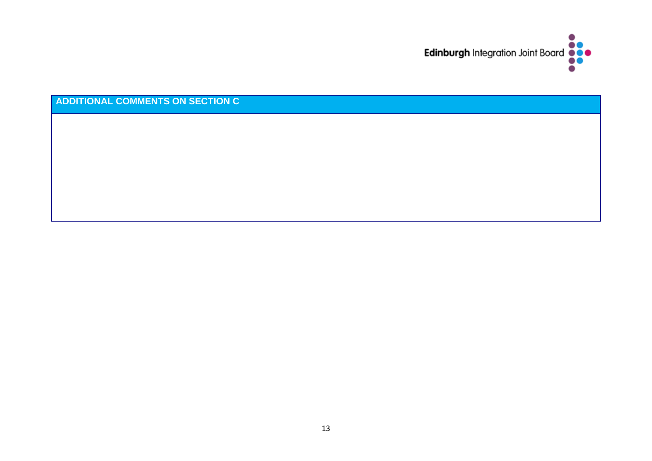

**ADDITIONAL COMMENTS ON SECTION C**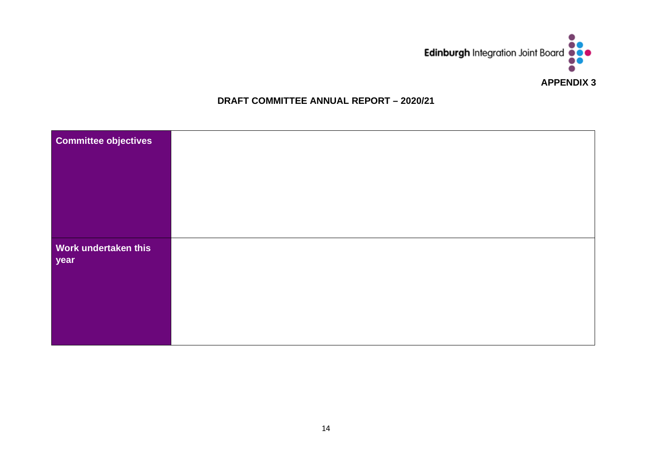

#### **DRAFT COMMITTEE ANNUAL REPORT – 2020/21**

| <b>Committee objectives</b>  |  |
|------------------------------|--|
| Work undertaken this<br>year |  |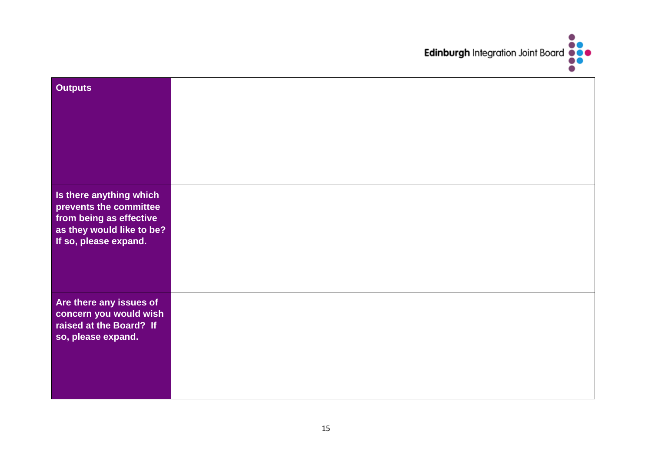

| <b>Outputs</b>                                                                                                                          |  |
|-----------------------------------------------------------------------------------------------------------------------------------------|--|
| Is there anything which<br>prevents the committee<br>L<br>from being as effective<br>as they would like to be?<br>If so, please expand. |  |
| Are there any issues of<br>concern you would wish<br>$\mathsf I$<br>raised at the Board? If<br>so, please expand.                       |  |